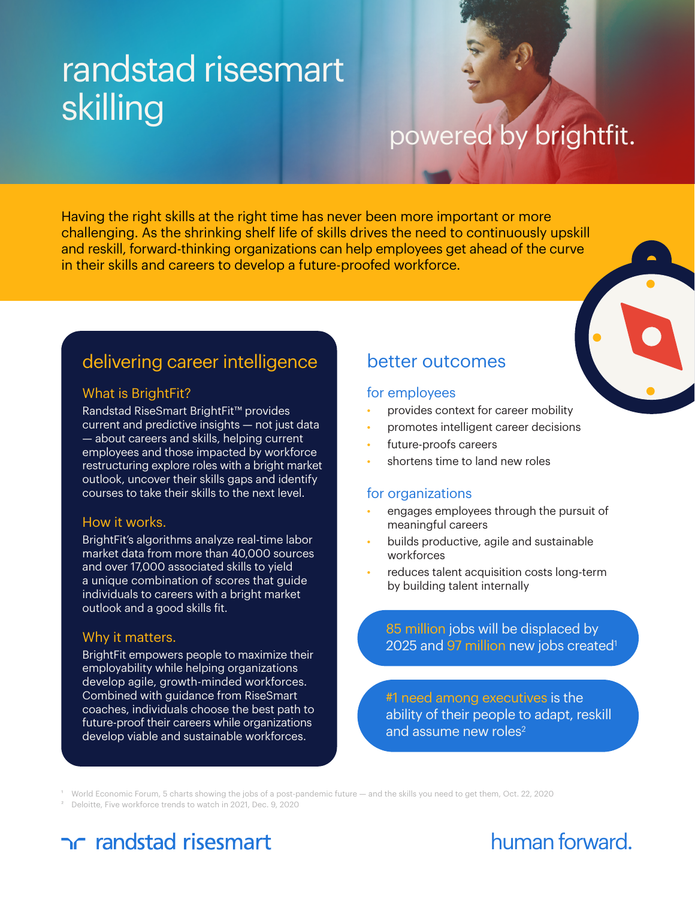# randstad risesmart skilling<br>powered by brightfit.

Having the right skills at the right time has never been more important or more challenging. As the shrinking shelf life of skills drives the need to continuously upskill and reskill, forward-thinking organizations can help employees get ahead of the curve in their skills and careers to develop a future-proofed workforce.



### What is BrightFit?

Randstad RiseSmart BrightFit™ provides current and predictive insights — not just data — about careers and skills, helping current employees and those impacted by workforce restructuring explore roles with a bright market outlook, uncover their skills gaps and identify courses to take their skills to the next level.

### How it works.

BrightFit's algorithms analyze real-time labor market data from more than 40,000 sources and over 17,000 associated skills to yield a unique combination of scores that guide individuals to careers with a bright market outlook and a good skills fit.

### Why it matters.

BrightFit empowers people to maximize their employability while helping organizations develop agile, growth-minded workforces. Combined with guidance from RiseSmart coaches, individuals choose the best path to future-proof their careers while organizations develop viable and sustainable workforces.

### better outcomes

### for employees

- provides context for career mobility
- promotes intelligent career decisions
- future-proofs careers
- shortens time to land new roles

### for organizations

- engages employees through the pursuit of meaningful careers
- builds productive, agile and sustainable workforces
- reduces talent acquisition costs long-term by building talent internally

85 million jobs will be displaced by 2025 and 97 million new jobs created<sup>1</sup>

#1 need among executives is the ability of their people to adapt, reskill and assume new roles $2$ 

1 World Economic Forum, 5 charts showing the jobs of a post-pandemic future — and the skills you need to get them, Oct. 22, 2020

2 Deloitte, Five workforce trends to watch in 2021, Dec. 9, 2020

# ac randstad risesmart

# human forward.